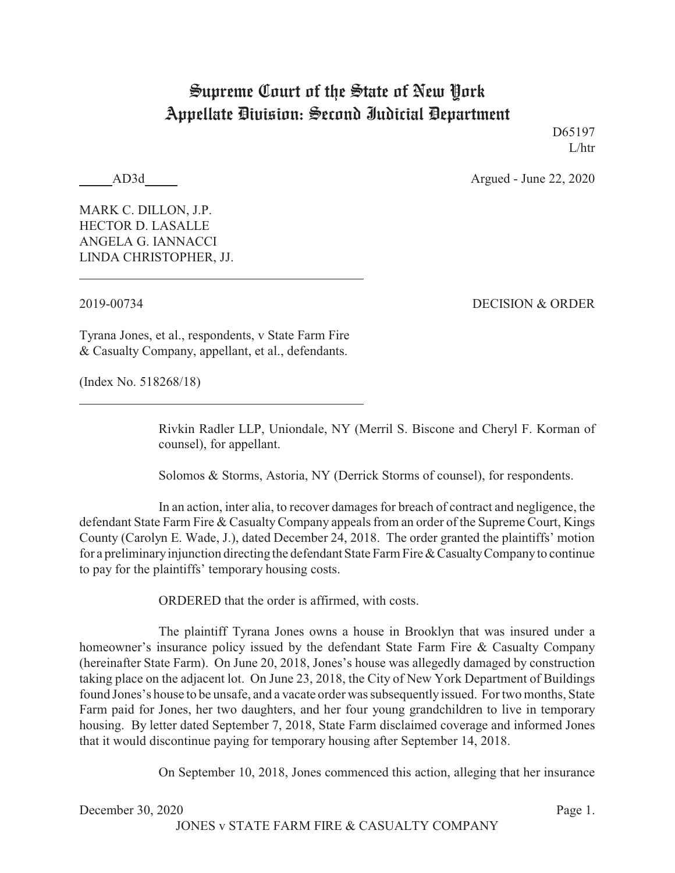## Supreme Court of the State of New York Appellate Division: Second Judicial Department

D65197 L/htr

AD3d Argued - June 22, 2020

MARK C. DILLON, J.P. HECTOR D. LASALLE ANGELA G. IANNACCI LINDA CHRISTOPHER, JJ.

2019-00734 DECISION & ORDER

Tyrana Jones, et al., respondents, v State Farm Fire & Casualty Company, appellant, et al., defendants.

(Index No. 518268/18)

Rivkin Radler LLP, Uniondale, NY (Merril S. Biscone and Cheryl F. Korman of counsel), for appellant.

Solomos & Storms, Astoria, NY (Derrick Storms of counsel), for respondents.

In an action, inter alia, to recover damages for breach of contract and negligence, the defendant State Farm Fire & Casualty Company appeals from an order of the Supreme Court, Kings County (Carolyn E. Wade, J.), dated December 24, 2018. The order granted the plaintiffs' motion for a preliminaryinjunction directing the defendant State Farm Fire&CasualtyCompanyto continue to pay for the plaintiffs' temporary housing costs.

ORDERED that the order is affirmed, with costs.

The plaintiff Tyrana Jones owns a house in Brooklyn that was insured under a homeowner's insurance policy issued by the defendant State Farm Fire & Casualty Company (hereinafter State Farm). On June 20, 2018, Jones's house was allegedly damaged by construction taking place on the adjacent lot. On June 23, 2018, the City of New York Department of Buildings found Jones's house to be unsafe, and a vacate order was subsequently issued. For two months, State Farm paid for Jones, her two daughters, and her four young grandchildren to live in temporary housing. By letter dated September 7, 2018, State Farm disclaimed coverage and informed Jones that it would discontinue paying for temporary housing after September 14, 2018.

On September 10, 2018, Jones commenced this action, alleging that her insurance

December 30, 2020 Page 1. JONES v STATE FARM FIRE & CASUALTY COMPANY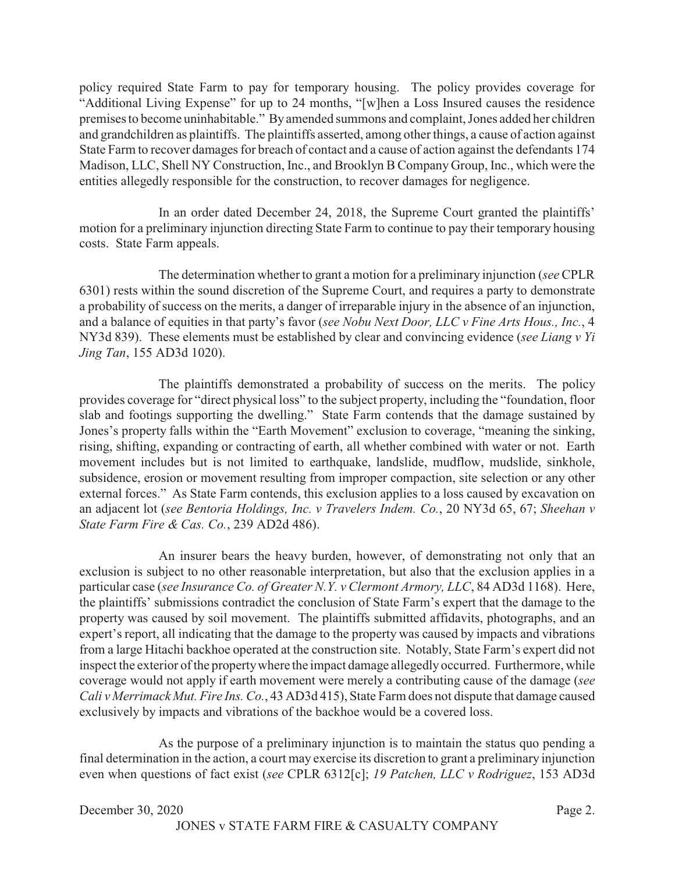policy required State Farm to pay for temporary housing. The policy provides coverage for "Additional Living Expense" for up to 24 months, "[w]hen a Loss Insured causes the residence premises to become uninhabitable." By amended summons and complaint, Jones added her children and grandchildren as plaintiffs. The plaintiffs asserted, among other things, a cause of action against State Farm to recover damages for breach of contact and a cause of action against the defendants 174 Madison, LLC, Shell NY Construction, Inc., and Brooklyn B Company Group, Inc., which were the entities allegedly responsible for the construction, to recover damages for negligence.

In an order dated December 24, 2018, the Supreme Court granted the plaintiffs' motion for a preliminary injunction directing State Farm to continue to pay their temporary housing costs. State Farm appeals.

The determination whether to grant a motion for a preliminary injunction (*see* CPLR 6301) rests within the sound discretion of the Supreme Court, and requires a party to demonstrate a probability of success on the merits, a danger of irreparable injury in the absence of an injunction, and a balance of equities in that party's favor (*see Nobu Next Door, LLC v Fine Arts Hous., Inc.*, 4 NY3d 839). These elements must be established by clear and convincing evidence (*see Liang v Yi Jing Tan*, 155 AD3d 1020).

The plaintiffs demonstrated a probability of success on the merits. The policy provides coverage for "direct physical loss" to the subject property, including the "foundation, floor slab and footings supporting the dwelling." State Farm contends that the damage sustained by Jones's property falls within the "Earth Movement" exclusion to coverage, "meaning the sinking, rising, shifting, expanding or contracting of earth, all whether combined with water or not. Earth movement includes but is not limited to earthquake, landslide, mudflow, mudslide, sinkhole, subsidence, erosion or movement resulting from improper compaction, site selection or any other external forces." As State Farm contends, this exclusion applies to a loss caused by excavation on an adjacent lot (*see Bentoria Holdings, Inc. v Travelers Indem. Co.*, 20 NY3d 65, 67; *Sheehan v State Farm Fire & Cas. Co.*, 239 AD2d 486).

An insurer bears the heavy burden, however, of demonstrating not only that an exclusion is subject to no other reasonable interpretation, but also that the exclusion applies in a particular case (*see Insurance Co. of Greater N.Y. v Clermont Armory, LLC*, 84 AD3d 1168). Here, the plaintiffs' submissions contradict the conclusion of State Farm's expert that the damage to the property was caused by soil movement. The plaintiffs submitted affidavits, photographs, and an expert's report, all indicating that the damage to the property was caused by impacts and vibrations from a large Hitachi backhoe operated at the construction site. Notably, State Farm's expert did not inspect the exterior of the propertywhere the impact damage allegedly occurred. Furthermore, while coverage would not apply if earth movement were merely a contributing cause of the damage (*see Cali v Merrimack Mut. Fire Ins. Co.*, 43 AD3d 415), State Farm does not dispute that damage caused exclusively by impacts and vibrations of the backhoe would be a covered loss.

As the purpose of a preliminary injunction is to maintain the status quo pending a final determination in the action, a court may exercise its discretion to grant a preliminary injunction even when questions of fact exist (*see* CPLR 6312[c]; *19 Patchen, LLC v Rodriguez*, 153 AD3d

```
December 30, 2020 Page 2.
```
JONES v STATE FARM FIRE & CASUALTY COMPANY